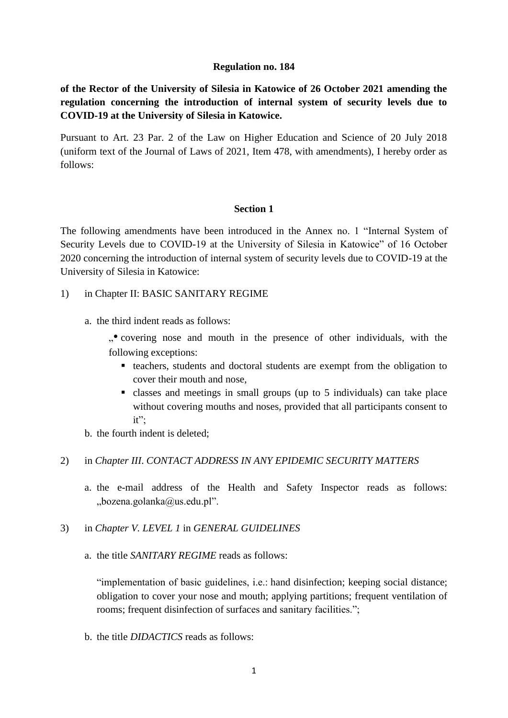#### **Regulation no. 184**

**of the Rector of the University of Silesia in Katowice of 26 October 2021 amending the regulation concerning the introduction of internal system of security levels due to COVID-19 at the University of Silesia in Katowice.** 

Pursuant to Art. 23 Par. 2 of the Law on Higher Education and Science of 20 July 2018 (uniform text of the Journal of Laws of 2021, Item 478, with amendments), I hereby order as follows:

#### **Section 1**

The following amendments have been introduced in the Annex no. 1 "Internal System of Security Levels due to COVID-19 at the University of Silesia in Katowice" of 16 October 2020 concerning the introduction of internal system of security levels due to COVID-19 at the University of Silesia in Katowice:

- 1) in Chapter II: BASIC SANITARY REGIME
	- a. the third indent reads as follows:

"• covering nose and mouth in the presence of other individuals, with the following exceptions:

- teachers, students and doctoral students are exempt from the obligation to cover their mouth and nose,
- classes and meetings in small groups (up to 5 individuals) can take place without covering mouths and noses, provided that all participants consent to it";
- b. the fourth indent is deleted;
- 2) in *Chapter III*. *CONTACT ADDRESS IN ANY EPIDEMIC SECURITY MATTERS*
	- a. the e-mail address of the Health and Safety Inspector reads as follows: .,bozena.golanka@us.edu.pl".
- 3) in *Chapter V. LEVEL 1* in *GENERAL GUIDELINES*
	- a. the title *SANITARY REGIME* reads as follows:

"implementation of basic guidelines, i.e.: hand disinfection; keeping social distance; obligation to cover your nose and mouth; applying partitions; frequent ventilation of rooms; frequent disinfection of surfaces and sanitary facilities.";

b. the title *DIDACTICS* reads as follows: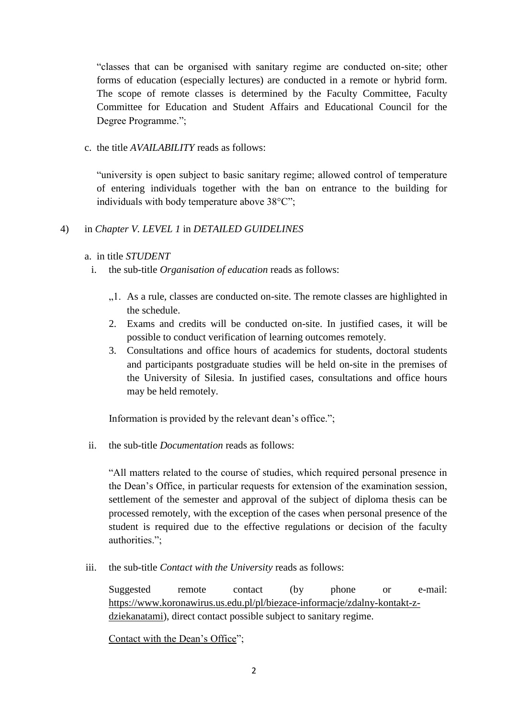"classes that can be organised with sanitary regime are conducted on-site; other forms of education (especially lectures) are conducted in a remote or hybrid form. The scope of remote classes is determined by the Faculty Committee, Faculty Committee for Education and Student Affairs and Educational Council for the Degree Programme.";

c. the title *AVAILABILITY* reads as follows:

"university is open subject to basic sanitary regime; allowed control of temperature of entering individuals together with the ban on entrance to the building for individuals with body temperature above 38°C";

4) in *Chapter V. LEVEL 1* in *DETAILED GUIDELINES*

a. in title *STUDENT*

- i. the sub-title *Organisation of education* reads as follows:
	- "1. As a rule, classes are conducted on-site. The remote classes are highlighted in the schedule.
	- 2. Exams and credits will be conducted on-site. In justified cases, it will be possible to conduct verification of learning outcomes remotely.
	- 3. Consultations and office hours of academics for students, doctoral students and participants postgraduate studies will be held on-site in the premises of the University of Silesia. In justified cases, consultations and office hours may be held remotely.

Information is provided by the relevant dean's office.";

ii. the sub-title *Documentation* reads as follows:

"All matters related to the course of studies, which required personal presence in the Dean's Office, in particular requests for extension of the examination session, settlement of the semester and approval of the subject of diploma thesis can be processed remotely, with the exception of the cases when personal presence of the student is required due to the effective regulations or decision of the faculty authorities.";

iii. the sub-title *Contact with the University* reads as follows:

Suggested remote contact (by phone or e-mail: [https://www.koronawirus.us.edu.pl/pl/biezace-informacje/zdalny-kontakt-z](https://www.koronawirus.us.edu.pl/pl/biezace-informacje/zdalny-kontakt-z-dziekanatami)[dziekanatami\)](https://www.koronawirus.us.edu.pl/pl/biezace-informacje/zdalny-kontakt-z-dziekanatami), direct contact possible subject to sanitary regime.

[Contact with the Dean's Office"](https://us.edu.pl/student/en/nowy-student/nowy-student-pierwsze-kroki/dziekanaty/?doing_wp_cron=1635179830.4577550888061523437500);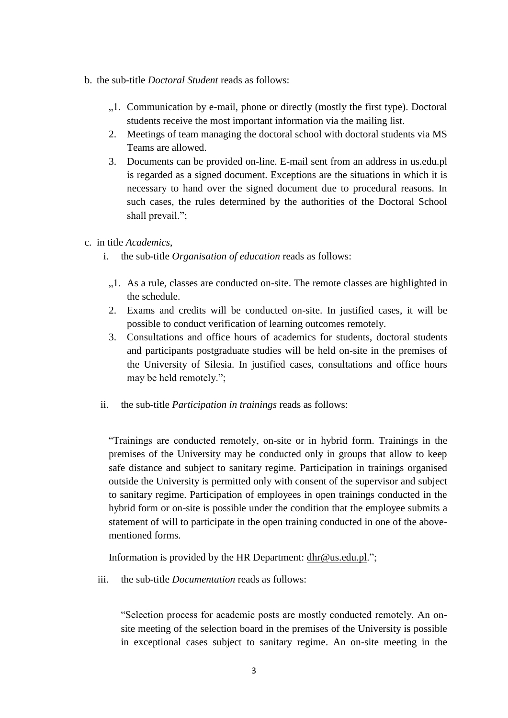- b. the sub-title *Doctoral Student* reads as follows:
	- "1. Communication by e-mail, phone or directly (mostly the first type). Doctoral students receive the most important information via the mailing list.
	- 2. Meetings of team managing the doctoral school with doctoral students via MS Teams are allowed.
	- 3. Documents can be provided on-line. E-mail sent from an address in us.edu.pl is regarded as a signed document. Exceptions are the situations in which it is necessary to hand over the signed document due to procedural reasons. In such cases, the rules determined by the authorities of the Doctoral School shall prevail.";
- c. in title *Academics*,
	- i. the sub-title *Organisation of education* reads as follows:
		- "1. As a rule, classes are conducted on-site. The remote classes are highlighted in the schedule.
		- 2. Exams and credits will be conducted on-site. In justified cases, it will be possible to conduct verification of learning outcomes remotely.
		- 3. Consultations and office hours of academics for students, doctoral students and participants postgraduate studies will be held on-site in the premises of the University of Silesia. In justified cases, consultations and office hours may be held remotely.";
	- ii. the sub-title *Participation in trainings* reads as follows:

"Trainings are conducted remotely, on-site or in hybrid form. Trainings in the premises of the University may be conducted only in groups that allow to keep safe distance and subject to sanitary regime. Participation in trainings organised outside the University is permitted only with consent of the supervisor and subject to sanitary regime. Participation of employees in open trainings conducted in the hybrid form or on-site is possible under the condition that the employee submits a statement of will to participate in the open training conducted in one of the abovementioned forms.

Information is provided by the HR Department: [dhr@us.edu.pl.](mailto:dhr@us.edu.pl)";

iii. the sub-title *Documentation* reads as follows:

"Selection process for academic posts are mostly conducted remotely. An onsite meeting of the selection board in the premises of the University is possible in exceptional cases subject to sanitary regime. An on-site meeting in the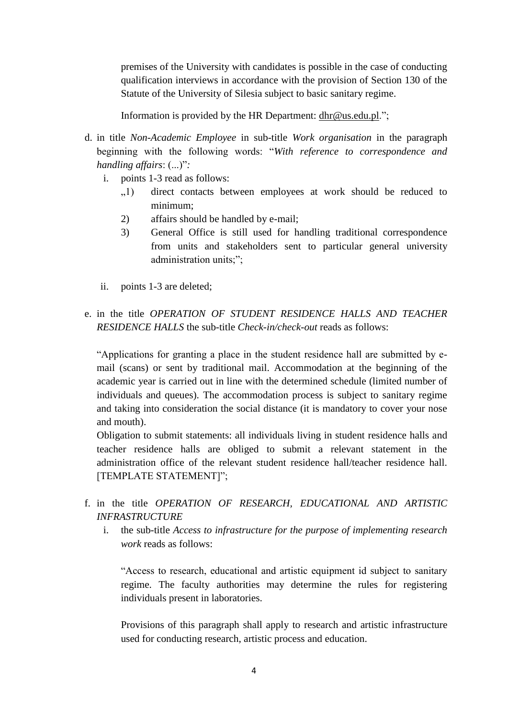premises of the University with candidates is possible in the case of conducting qualification interviews in accordance with the provision of Section 130 of the Statute of the University of Silesia subject to basic sanitary regime.

Information is provided by the HR Department: [dhr@us.edu.pl.](mailto:dhr@us.edu.pl)";

- d. in title *Non-Academic Employee* in sub-title *Work organisation* in the paragraph beginning with the following words: "*With reference to correspondence and handling affairs*: (...)"*:*
	- i. points 1-3 read as follows:
		- "1) direct contacts between employees at work should be reduced to minimum;
		- 2) affairs should be handled by e-mail;
		- 3) General Office is still used for handling traditional correspondence from units and stakeholders sent to particular general university administration units;";
	- ii. points 1-3 are deleted;
- e. in the title *OPERATION OF STUDENT RESIDENCE HALLS AND TEACHER RESIDENCE HALLS* the sub-title *Check-in/check-out* reads as follows:

"Applications for granting a place in the student residence hall are submitted by email (scans) or sent by traditional mail. Accommodation at the beginning of the academic year is carried out in line with the determined schedule (limited number of individuals and queues). The accommodation process is subject to sanitary regime and taking into consideration the social distance (it is mandatory to cover your nose and mouth).

Obligation to submit statements: all individuals living in student residence halls and teacher residence halls are obliged to submit a relevant statement in the administration office of the relevant student residence hall/teacher residence hall. [TEMPLATE STATEMENT]";

- f. in the title *OPERATION OF RESEARCH, EDUCATIONAL AND ARTISTIC INFRASTRUCTURE*
	- i. the sub-title *Access to infrastructure for the purpose of implementing research work* reads as follows:

"Access to research, educational and artistic equipment id subject to sanitary regime. The faculty authorities may determine the rules for registering individuals present in laboratories.

Provisions of this paragraph shall apply to research and artistic infrastructure used for conducting research, artistic process and education.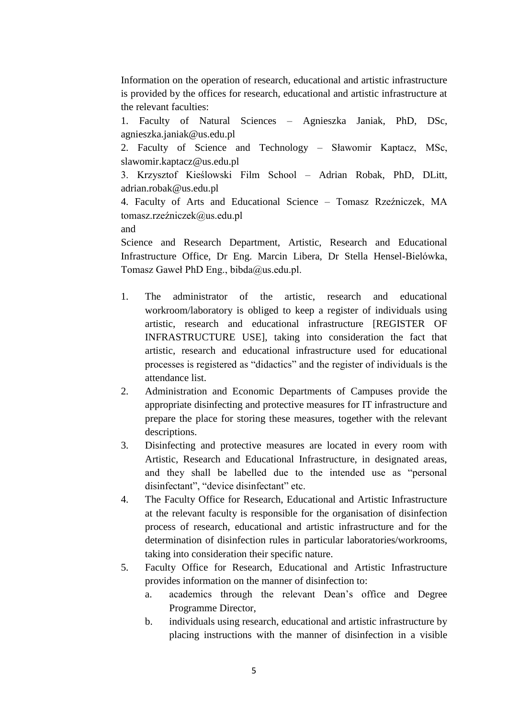Information on the operation of research, educational and artistic infrastructure is provided by the offices for research, educational and artistic infrastructure at the relevant faculties:

1. Faculty of Natural Sciences – Agnieszka Janiak, PhD, DSc, agnieszka.janiak@us.edu.pl

2. Faculty of Science and Technology – Sławomir Kaptacz, MSc, slawomir.kaptacz@us.edu.pl

3. Krzysztof Kieślowski Film School – Adrian Robak, PhD, DLitt, adrian.robak@us.edu.pl

4. Faculty of Arts and Educational Science – Tomasz Rzeźniczek, MA tomasz.rzeźniczek@us.edu.pl

and

Science and Research Department, Artistic, Research and Educational Infrastructure Office, Dr Eng. Marcin Libera, Dr Stella Hensel-Bielówka, Tomasz Gaweł PhD Eng., bibda@us.edu.pl.

- 1. The administrator of the artistic, research and educational workroom/laboratory is obliged to keep a register of individuals using artistic, research and educational infrastructure [REGISTER OF INFRASTRUCTURE USE], taking into consideration the fact that artistic, research and educational infrastructure used for educational processes is registered as "didactics" and the register of individuals is the attendance list.
- 2. Administration and Economic Departments of Campuses provide the appropriate disinfecting and protective measures for IT infrastructure and prepare the place for storing these measures, together with the relevant descriptions.
- 3. Disinfecting and protective measures are located in every room with Artistic, Research and Educational Infrastructure, in designated areas, and they shall be labelled due to the intended use as "personal disinfectant", "device disinfectant" etc.
- 4. The Faculty Office for Research, Educational and Artistic Infrastructure at the relevant faculty is responsible for the organisation of disinfection process of research, educational and artistic infrastructure and for the determination of disinfection rules in particular laboratories/workrooms, taking into consideration their specific nature.
- 5. Faculty Office for Research, Educational and Artistic Infrastructure provides information on the manner of disinfection to:
	- a. academics through the relevant Dean's office and Degree Programme Director,
	- b. individuals using research, educational and artistic infrastructure by placing instructions with the manner of disinfection in a visible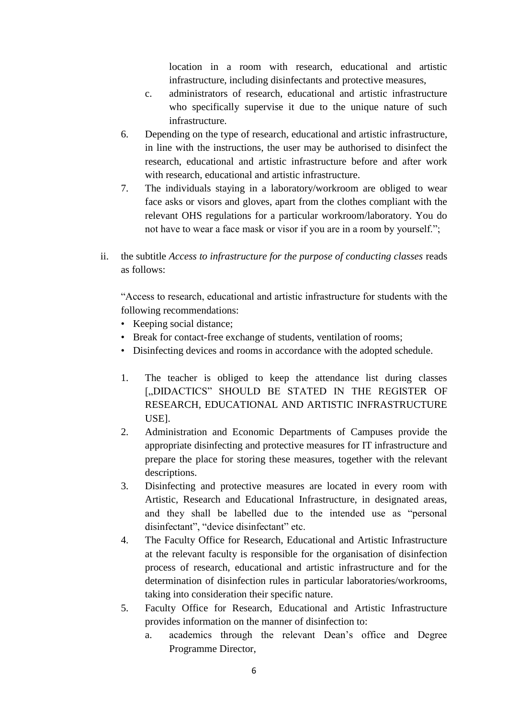location in a room with research, educational and artistic infrastructure, including disinfectants and protective measures,

- c. administrators of research, educational and artistic infrastructure who specifically supervise it due to the unique nature of such infrastructure.
- 6. Depending on the type of research, educational and artistic infrastructure, in line with the instructions, the user may be authorised to disinfect the research, educational and artistic infrastructure before and after work with research, educational and artistic infrastructure.
- 7. The individuals staying in a laboratory/workroom are obliged to wear face asks or visors and gloves, apart from the clothes compliant with the relevant OHS regulations for a particular workroom/laboratory. You do not have to wear a face mask or visor if you are in a room by yourself.";
- ii. the subtitle *Access to infrastructure for the purpose of conducting classes* reads as follows:

"Access to research, educational and artistic infrastructure for students with the following recommendations:

- Keeping social distance;
- Break for contact-free exchange of students, ventilation of rooms;
- Disinfecting devices and rooms in accordance with the adopted schedule.
- 1. The teacher is obliged to keep the attendance list during classes ["DIDACTICS" SHOULD BE STATED IN THE REGISTER OF RESEARCH, EDUCATIONAL AND ARTISTIC INFRASTRUCTURE USE].
- 2. Administration and Economic Departments of Campuses provide the appropriate disinfecting and protective measures for IT infrastructure and prepare the place for storing these measures, together with the relevant descriptions.
- 3. Disinfecting and protective measures are located in every room with Artistic, Research and Educational Infrastructure, in designated areas, and they shall be labelled due to the intended use as "personal disinfectant", "device disinfectant" etc.
- 4. The Faculty Office for Research, Educational and Artistic Infrastructure at the relevant faculty is responsible for the organisation of disinfection process of research, educational and artistic infrastructure and for the determination of disinfection rules in particular laboratories/workrooms, taking into consideration their specific nature.
- 5. Faculty Office for Research, Educational and Artistic Infrastructure provides information on the manner of disinfection to:
	- a. academics through the relevant Dean's office and Degree Programme Director,